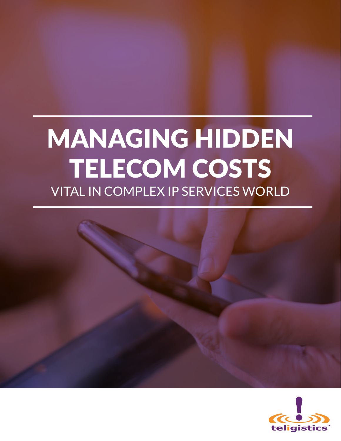# MANAGING HIDDEN TELECOM COSTS VITAL IN COMPLEX IP SERVICES WORLD

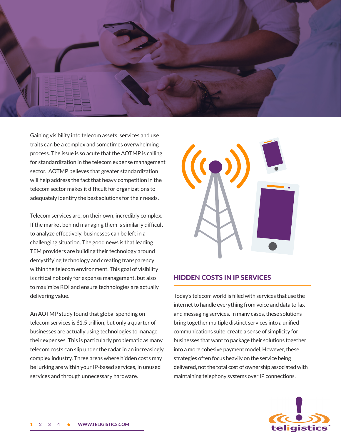<span id="page-1-0"></span>

Gaining visibility into telecom assets, services and use traits can be a complex and sometimes overwhelming process. The issue is so acute that the AOTMP is calling for standardization in the telecom expense management sector. AOTMP believes that greater standardization will help address the fact that heavy competition in the telecom sector makes it diffcult for organizations to adequately identify the best solutions for their needs.

Telecom services are, on their own, incredibly complex. If the market behind managing them is similarly diffcult to analyze effectively, businesses can be left in a challenging situation. The good news is that leading TEM providers are building their technology around demystifying technology and creating transparency within the telecom environment. This goal of visibility is critical not only for expense management, but also to maximize ROI and ensure technologies are actually delivering value.

An AOTMP study found that global spending on telecom services is \$1.5 trillion, but only a quarter of businesses are actually using technologies to manage their expenses. This is particularly problematic as many telecom costs can slip under the radar in an increasingly complex industry. Three areas where hidden costs may be lurking are within your IP-based services, in unused services and through unnecessary hardware.



## HIDDEN COSTS IN IP SERVICES

Today's telecom world is flled with services that use the internet to handle everything from voice and data to fax and messaging services. In many cases, these solutions bring together multiple distinct services into a unifed communications suite, create a sense of simplicity for businesses that want to package their solutions together into a more cohesive payment model. However, these strategies often focus heavily on the service being delivered, not the total cost of ownership associated with maintaining telephony systems over IP connections.

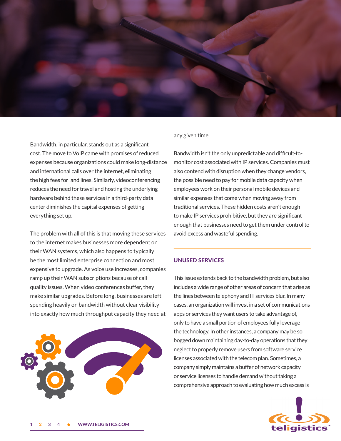<span id="page-2-0"></span>

Bandwidth, in particular, stands out as a signifcant cost. The move to VoIP came with promises of reduced expenses because organizations could make long-distance and international calls over the internet, eliminating the high fees for land lines. Similarly, videoconferencing reduces the need for travel and hosting the underlying hardware behind these services in a third-party data center diminishes the capital expenses of getting everything set up.

The problem with all of this is that moving these services to the internet makes businesses more dependent on their WAN systems, which also happens to typically be the most limited enterprise connection and most expensive to upgrade. As voice use increases, companies ramp up their WAN subscriptions because of call quality issues. When video conferences buffer, they make similar upgrades. Before long, businesses are left spending heavily on bandwidth without clear visibility into exactly how much throughput capacity they need at



any given time.

Bandwidth isn't the only unpredictable and diffcult-tomonitor cost associated with IP services. Companies must also contend with disruption when they change vendors, the possible need to pay for mobile data capacity when employees work on their personal mobile devices and similar expenses that come when moving away from traditional services. These hidden costs aren't enough to make IP services prohibitive, but they are signifcant enough that businesses need to get them under control to avoid excess and wasteful spending.

## UNUSED SERVICES

This issue extends back to the bandwidth problem, but also includes a wide range of other areas of concern that arise as the lines between telephony and IT services blur. In many cases, an organization will invest in a set of communications apps or services they want users to take advantage of, only to have a small portion of employees fully leverage the technology. In other instances, a company may be so bogged down maintaining day-to-day operations that they neglect to properly remove users from software service licenses associated with the telecom plan. Sometimes, a company simply maintains a buffer of network capacity or service licenses to handle demand without taking a comprehensive approach to evaluating how much excess is

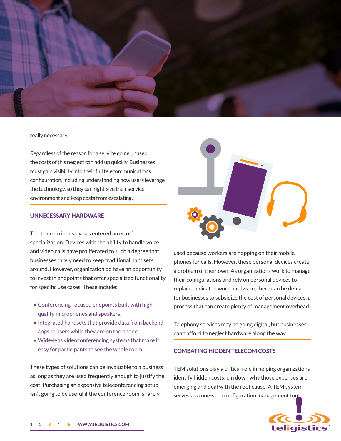<span id="page-3-0"></span>

#### really necessary.

Regardless of the reason for a service going unused, the costs of this neglect can add up quickly. Businesses must gain visibility into their full telecommunications confguration, including understanding how users leverage the technology, so they can right-size their service environment and keep costs from escalating.

## UNNECESSARY HARDWARE

The telecom industry has entered an era of specialization. Devices with the ability to handle voice and video calls have proliferated to such a degree that businesses rarely need to keep traditional handsets around. However, organization do have an opportunity to invest in endpoints that offer specialized functionality for specifc use cases. These include:

- Conferencing-focused endpoints built with highquality microphones and speakers.
- Integrated handsets that provide data from backend apps to users while they are on the phone.
- Wide-lens videoconferencing systems that make it easy for participants to see the whole room.

These types of solutions can be invaluable to a business as long as they are used frequently enough to justify the cost. Purchasing an expensive teleconferencing setup isn't going to be useful if the conference room is rarely



used because workers are hopping on their mobile phones for calls. However, these personal devices create a problem of their own. As organizations work to manage their confgurations and rely on personal devices to replace dedicated work hardware, there can be demand for businesses to subsidize the cost of personal devices, a process that can create plenty of management overhead.

Telephony services may be going digital, but businesses can't afford to neglect hardware along the way.

### **COMBATING HIDDEN TELECOM COSTS**

TEM solutions play a critical role in helping organizations identify hidden costs, pin down why those expenses are emerging and deal with the root cause. A TEM system serves as a one-stop configuration management tool

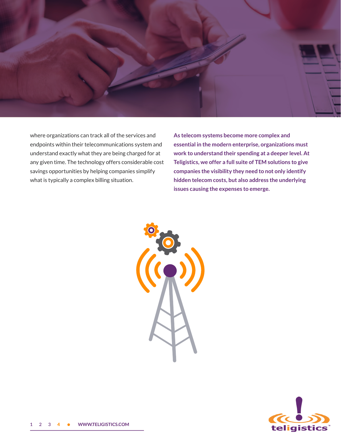<span id="page-4-0"></span>

where organizations can track all of the services and endpoints within their telecommunications system and understand exactly what they are being charged for at any given time. The technology offers considerable cost savings opportunities by helping companies simplify what is typically a complex billing situation.

**As telecom systems become more complex and essential in the modern enterprise, organizations must work to understand their spending at a deeper level. At Teligistics, we offer a full suite of TEM solutions to give companies the visibility they need to not only identify hidden telecom costs, but also address the underlying issues causing the expenses to emerge.**